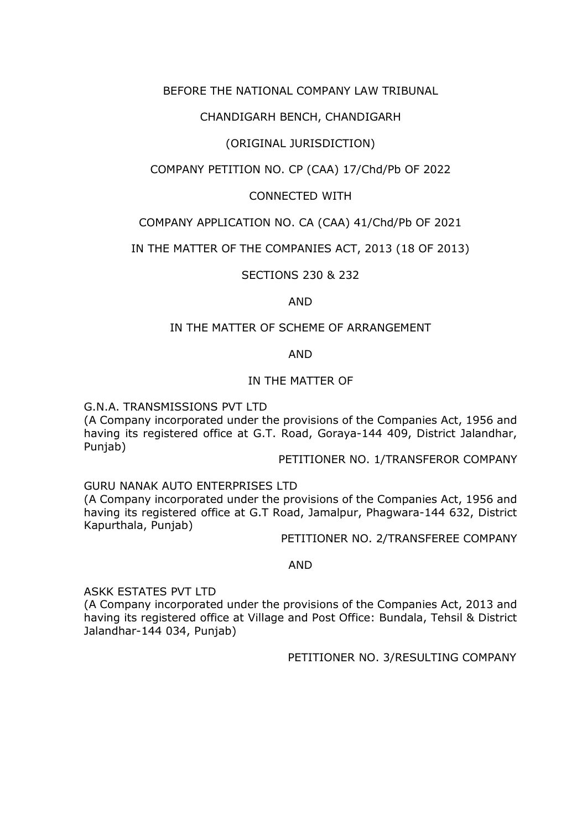## BEFORE THE NATIONAL COMPANY LAW TRIBUNAL

## CHANDIGARH BENCH, CHANDIGARH

# (ORIGINAL JURISDICTION)

# COMPANY PETITION NO. CP (CAA) 17/Chd/Pb OF 2022

## CONNECTED WITH

## COMPANY APPLICATION NO. CA (CAA) 41/Chd/Pb OF 2021

## IN THE MATTER OF THE COMPANIES ACT, 2013 (18 OF 2013)

SECTIONS 230 & 232

AND

### IN THE MATTER OF SCHEME OF ARRANGEMENT

AND

### IN THE MATTER OF

G.N.A. TRANSMISSIONS PVT LTD

(A Company incorporated under the provisions of the Companies Act, 1956 and having its registered office at G.T. Road, Goraya-144 409, District Jalandhar, Punjab)

PETITIONER NO. 1/TRANSFEROR COMPANY

GURU NANAK AUTO ENTERPRISES LTD

(A Company incorporated under the provisions of the Companies Act, 1956 and having its registered office at G.T Road, Jamalpur, Phagwara-144 632, District Kapurthala, Punjab)

PETITIONER NO. 2/TRANSFEREE COMPANY

#### AND

ASKK ESTATES PVT LTD

(A Company incorporated under the provisions of the Companies Act, 2013 and having its registered office at Village and Post Office: Bundala, Tehsil & District Jalandhar-144 034, Punjab)

PETITIONER NO. 3/RESULTING COMPANY